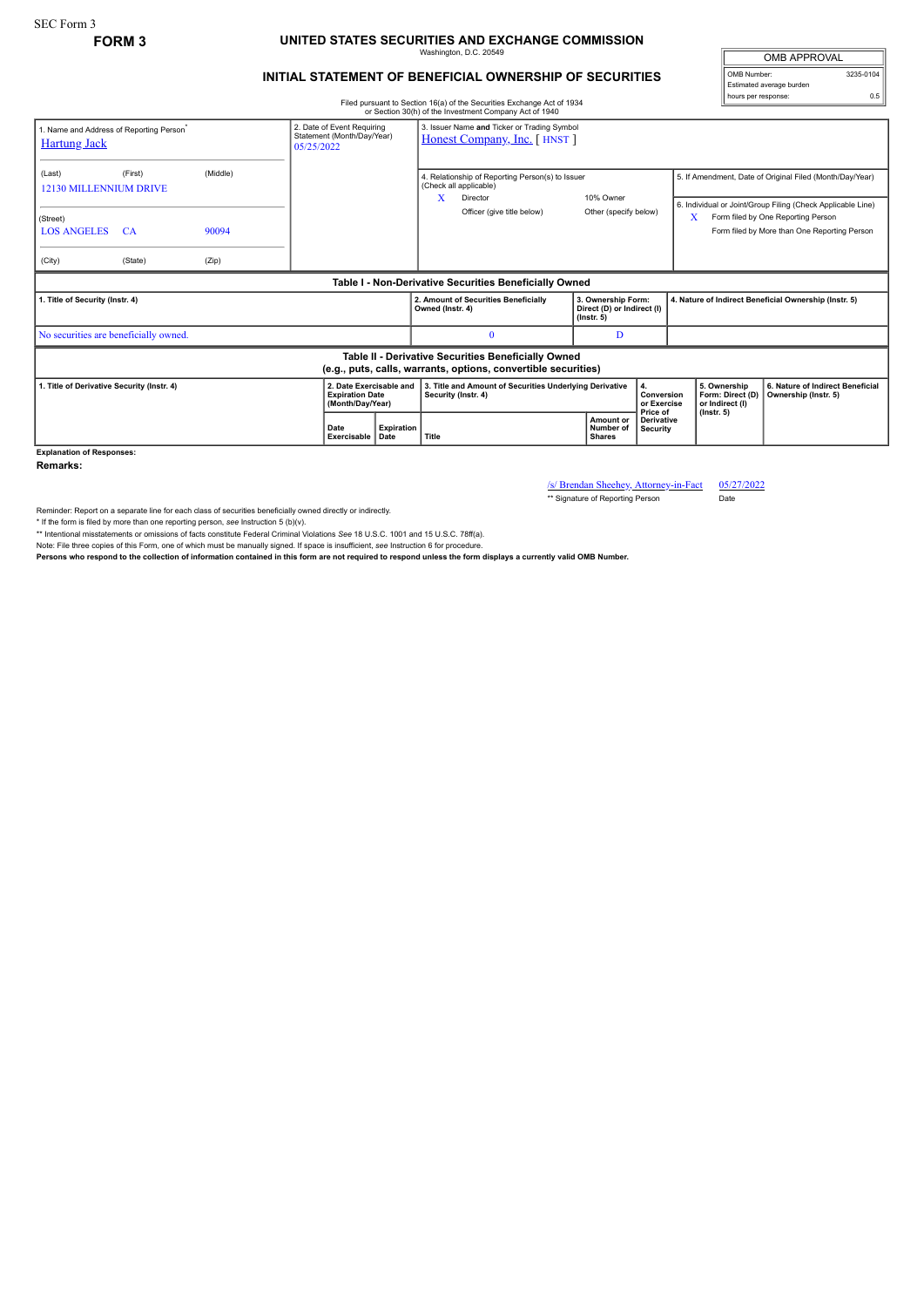SEC Form 3

## **FORM 3 UNITED STATES SECURITIES AND EXCHANGE COMMISSION** Washington, D.C. 20549

## **INITIAL STATEMENT OF BENEFICIAL OWNERSHIP OF SECURITIES**

OMB APPROVAL OMB Number: 3235-0104 Estimated average burden hours per response: 0.5

Filed pursuant to Section 16(a) of the Securities Exchange Act of 1934

|                                                                                                                       | or Section 30(h) of the Investment Company Act of 1940 |          |                                                                        |                                                                       |                                                                            |                                                                                                                      |                                                                          |                                             |                                                                                                                                                                    |                                                     |                                                          |  |
|-----------------------------------------------------------------------------------------------------------------------|--------------------------------------------------------|----------|------------------------------------------------------------------------|-----------------------------------------------------------------------|----------------------------------------------------------------------------|----------------------------------------------------------------------------------------------------------------------|--------------------------------------------------------------------------|---------------------------------------------|--------------------------------------------------------------------------------------------------------------------------------------------------------------------|-----------------------------------------------------|----------------------------------------------------------|--|
| 1. Name and Address of Reporting Person <sup>*</sup><br><b>Hartung Jack</b>                                           |                                                        |          | 2. Date of Event Requiring<br>Statement (Month/Day/Year)<br>05/25/2022 |                                                                       | 3. Issuer Name and Ticker or Trading Symbol<br>Honest Company, Inc. [HNST] |                                                                                                                      |                                                                          |                                             |                                                                                                                                                                    |                                                     |                                                          |  |
| (Last)<br>12130 MILLENNIUM DRIVE<br>(Street)                                                                          | (First)                                                | (Middle) |                                                                        |                                                                       | X                                                                          | 4. Relationship of Reporting Person(s) to Issuer<br>(Check all applicable)<br>Director<br>Officer (give title below) | 10% Owner<br>Other (specify below)                                       |                                             | 5. If Amendment, Date of Original Filed (Month/Day/Year)<br>6. Individual or Joint/Group Filing (Check Applicable Line)<br>X<br>Form filed by One Reporting Person |                                                     |                                                          |  |
| <b>LOS ANGELES</b>                                                                                                    | <b>CA</b>                                              | 90094    |                                                                        |                                                                       |                                                                            |                                                                                                                      |                                                                          |                                             |                                                                                                                                                                    |                                                     | Form filed by More than One Reporting Person             |  |
| (City)                                                                                                                | (State)                                                | (Zip)    |                                                                        |                                                                       |                                                                            |                                                                                                                      |                                                                          |                                             |                                                                                                                                                                    |                                                     |                                                          |  |
| Table I - Non-Derivative Securities Beneficially Owned                                                                |                                                        |          |                                                                        |                                                                       |                                                                            |                                                                                                                      |                                                                          |                                             |                                                                                                                                                                    |                                                     |                                                          |  |
| 1. Title of Security (Instr. 4)                                                                                       |                                                        |          |                                                                        |                                                                       | Owned (Instr. 4)                                                           | 2. Amount of Securities Beneficially                                                                                 | 3. Ownership Form:<br>Direct (D) or Indirect (I)<br>$($ lnstr. 5 $)$     |                                             |                                                                                                                                                                    |                                                     | 4. Nature of Indirect Beneficial Ownership (Instr. 5)    |  |
| No securities are beneficially owned.                                                                                 |                                                        |          |                                                                        |                                                                       |                                                                            | $\Omega$                                                                                                             | D                                                                        |                                             |                                                                                                                                                                    |                                                     |                                                          |  |
| Table II - Derivative Securities Beneficially Owned<br>(e.g., puts, calls, warrants, options, convertible securities) |                                                        |          |                                                                        |                                                                       |                                                                            |                                                                                                                      |                                                                          |                                             |                                                                                                                                                                    |                                                     |                                                          |  |
| 1. Title of Derivative Security (Instr. 4)                                                                            |                                                        |          |                                                                        | 2. Date Exercisable and<br><b>Expiration Date</b><br>(Month/Day/Year) |                                                                            | 3. Title and Amount of Securities Underlying Derivative<br>Security (Instr. 4)                                       |                                                                          | 4.<br>Conversion<br>or Exercise<br>Price of |                                                                                                                                                                    | 5. Ownership<br>Form: Direct (D)<br>or Indirect (I) | 6. Nature of Indirect Beneficial<br>Ownership (Instr. 5) |  |
|                                                                                                                       |                                                        |          | Date<br>Exercisable                                                    | Expiration<br>Date                                                    | Title                                                                      |                                                                                                                      | Amount or<br><b>Derivative</b><br>Number of<br>Security<br><b>Shares</b> |                                             | $($ lnstr. 5 $)$                                                                                                                                                   |                                                     |                                                          |  |
| <b>Explanation of Responses:</b>                                                                                      |                                                        |          |                                                                        |                                                                       |                                                                            |                                                                                                                      |                                                                          |                                             |                                                                                                                                                                    |                                                     |                                                          |  |

**Remarks:**

/s/ Brendan Sheehey, Attorney-in-Fact 05/27/2022<br>\*\* Signature of Reporting Person Date

\*\* Signature of Reporting Person

Reminder: Report on a separate line for each class of securities beneficially owned directly or indirectly.

\* If the form is filed by more than one reporting person, see Instruction 5 (b)(v).<br>\*\* Intentional misstatements or omissions of facts constitute Federal Criminal Violations See 18 U.S.C. 1001 and 15 U.S.C. 78ff(a).

Note: File three copies of this Form, one of which must be manually signed. If space is insufficient, *see* Instruction 6 for procedure.

**Persons who respond to the collection of information contained in this form are not required to respond unless the form displays a currently valid OMB Number.**